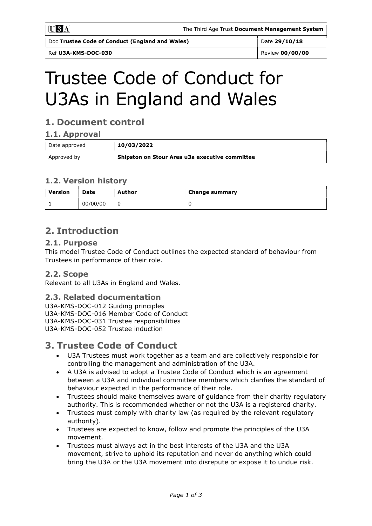Doc Trustee Code of Conduct (England and Wales) Date 29/10/18

Ref U3A-KMS-DOC-030 Review 00/00/00

# Trustee Code of Conduct for U3As in England and Wales

## 1. Document control

#### 1.1. Approval

| Date approved | 10/03/2022                                     |  |
|---------------|------------------------------------------------|--|
| Approved by   | Shipston on Stour Area u3a executive committee |  |

#### 1.2. Version history

| <b>Version</b> | Date     | Author | Change summary |
|----------------|----------|--------|----------------|
|                | 00/00/00 |        |                |

## 2. Introduction

#### 2.1. Purpose

This model Trustee Code of Conduct outlines the expected standard of behaviour from Trustees in performance of their role.

#### 2.2. Scope

Relevant to all U3As in England and Wales.

#### 2.3. Related documentation

U3A-KMS-DOC-012 Guiding principles U3A-KMS-DOC-016 Member Code of Conduct U3A-KMS-DOC-031 Trustee responsibilities U3A-KMS-DOC-052 Trustee induction

## 3. Trustee Code of Conduct

- U3A Trustees must work together as a team and are collectively responsible for controlling the management and administration of the U3A.
- A U3A is advised to adopt a Trustee Code of Conduct which is an agreement between a U3A and individual committee members which clarifies the standard of behaviour expected in the performance of their role.
- Trustees should make themselves aware of guidance from their charity regulatory authority. This is recommended whether or not the U3A is a registered charity.
- Trustees must comply with charity law (as required by the relevant regulatory authority).
- Trustees are expected to know, follow and promote the principles of the U3A movement.
- Trustees must always act in the best interests of the U3A and the U3A movement, strive to uphold its reputation and never do anything which could bring the U3A or the U3A movement into disrepute or expose it to undue risk.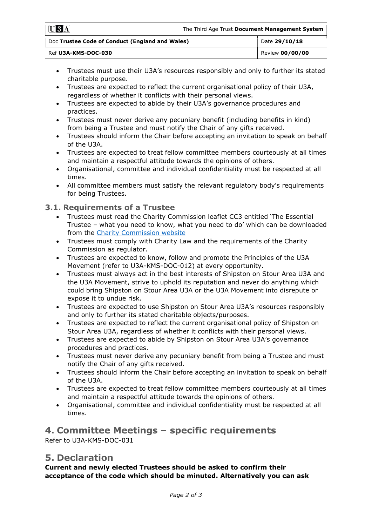| $\blacksquare$ $\blacksquare$ $\blacksquare$ $\blacksquare$ | The Third Age Trust Document Management System |                 |  |
|-------------------------------------------------------------|------------------------------------------------|-----------------|--|
| Doc Trustee Code of Conduct (England and Wales)             |                                                | Date 29/10/18   |  |
| Ref U3A-KMS-DOC-030                                         |                                                | Review 00/00/00 |  |

- Trustees must use their U3A's resources responsibly and only to further its stated charitable purpose.
- Trustees are expected to reflect the current organisational policy of their U3A, regardless of whether it conflicts with their personal views.
- Trustees are expected to abide by their U3A's governance procedures and practices.
- Trustees must never derive any pecuniary benefit (including benefits in kind) from being a Trustee and must notify the Chair of any gifts received.
- Trustees should inform the Chair before accepting an invitation to speak on behalf of the U3A.
- Trustees are expected to treat fellow committee members courteously at all times and maintain a respectful attitude towards the opinions of others.
- Organisational, committee and individual confidentiality must be respected at all times.
- All committee members must satisfy the relevant regulatory body's requirements for being Trustees.

#### 3.1. Requirements of a Trustee

- Trustees must read the Charity Commission leaflet CC3 entitled 'The Essential Trustee – what you need to know, what you need to do' which can be downloaded from the Charity Commission website
- Trustees must comply with Charity Law and the requirements of the Charity Commission as regulator.
- Trustees are expected to know, follow and promote the Principles of the U3A Movement (refer to U3A-KMS-DOC-012) at every opportunity.
- Trustees must always act in the best interests of Shipston on Stour Area U3A and the U3A Movement, strive to uphold its reputation and never do anything which could bring Shipston on Stour Area U3A or the U3A Movement into disrepute or expose it to undue risk.
- Trustees are expected to use Shipston on Stour Area U3A's resources responsibly and only to further its stated charitable objects/purposes.
- Trustees are expected to reflect the current organisational policy of Shipston on Stour Area U3A, regardless of whether it conflicts with their personal views.
- Trustees are expected to abide by Shipston on Stour Area U3A's governance procedures and practices.
- Trustees must never derive any pecuniary benefit from being a Trustee and must notify the Chair of any gifts received.
- Trustees should inform the Chair before accepting an invitation to speak on behalf of the U3A.
- Trustees are expected to treat fellow committee members courteously at all times and maintain a respectful attitude towards the opinions of others.
- Organisational, committee and individual confidentiality must be respected at all times.

#### 4. Committee Meetings – specific requirements Refer to U3A-KMS-DOC-031

### 5. Declaration

Current and newly elected Trustees should be asked to confirm their acceptance of the code which should be minuted. Alternatively you can ask